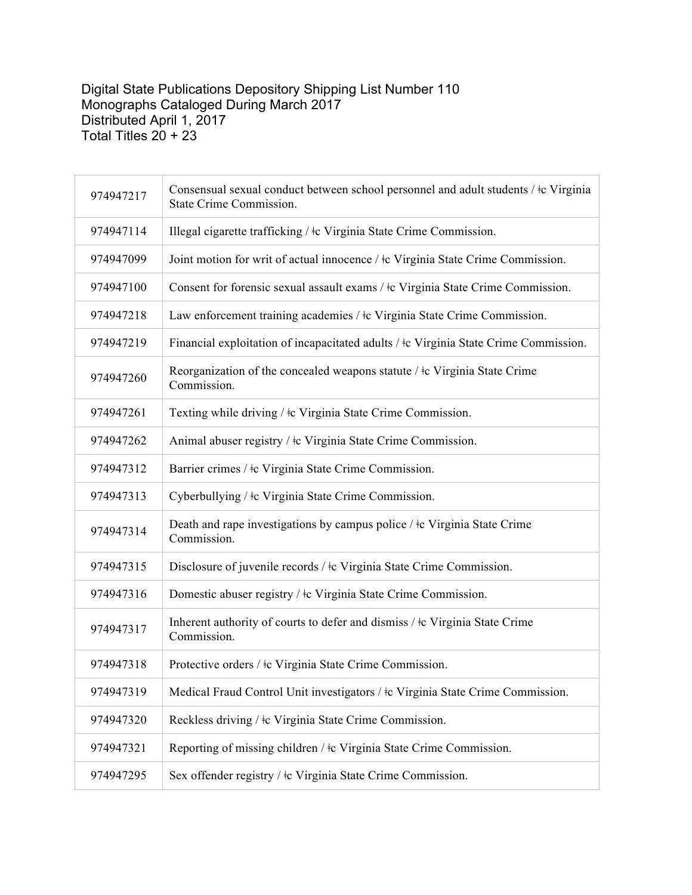## Digital State Publications Depository Shipping List Number 110 Monographs Cataloged During March 2017 Distributed April 1, 2017 Total Titles 20 + 23

| 974947217 | Consensual sexual conduct between school personnel and adult students / $\pm c$ Virginia<br>State Crime Commission. |
|-----------|---------------------------------------------------------------------------------------------------------------------|
| 974947114 | Illegal cigarette trafficking / ‡c Virginia State Crime Commission.                                                 |
| 974947099 | Joint motion for writ of actual innocence / $\pm c$ Virginia State Crime Commission.                                |
| 974947100 | Consent for forensic sexual assault exams / $\pm c$ Virginia State Crime Commission.                                |
| 974947218 | Law enforcement training academies / $\pm c$ Virginia State Crime Commission.                                       |
| 974947219 | Financial exploitation of incapacitated adults / $\pm c$ Virginia State Crime Commission.                           |
| 974947260 | Reorganization of the concealed weapons statute / ‡c Virginia State Crime<br>Commission.                            |
| 974947261 | Texting while driving / $\pm c$ Virginia State Crime Commission.                                                    |
| 974947262 | Animal abuser registry / $\pm c$ Virginia State Crime Commission.                                                   |
| 974947312 | Barrier crimes / ‡c Virginia State Crime Commission.                                                                |
| 974947313 | Cyberbullying / $\pm c$ Virginia State Crime Commission.                                                            |
| 974947314 | Death and rape investigations by campus police / ‡c Virginia State Crime<br>Commission.                             |
| 974947315 | Disclosure of juvenile records / ‡c Virginia State Crime Commission.                                                |
| 974947316 | Domestic abuser registry / ‡c Virginia State Crime Commission.                                                      |
| 974947317 | Inherent authority of courts to defer and dismiss / $\pm c$ Virginia State Crime<br>Commission.                     |
| 974947318 | Protective orders / $\pm c$ Virginia State Crime Commission.                                                        |
| 974947319 | Medical Fraud Control Unit investigators / $\pm c$ Virginia State Crime Commission.                                 |
| 974947320 | Reckless driving / tc Virginia State Crime Commission.                                                              |
| 974947321 | Reporting of missing children / $\pm c$ Virginia State Crime Commission.                                            |
| 974947295 | Sex offender registry / ‡c Virginia State Crime Commission.                                                         |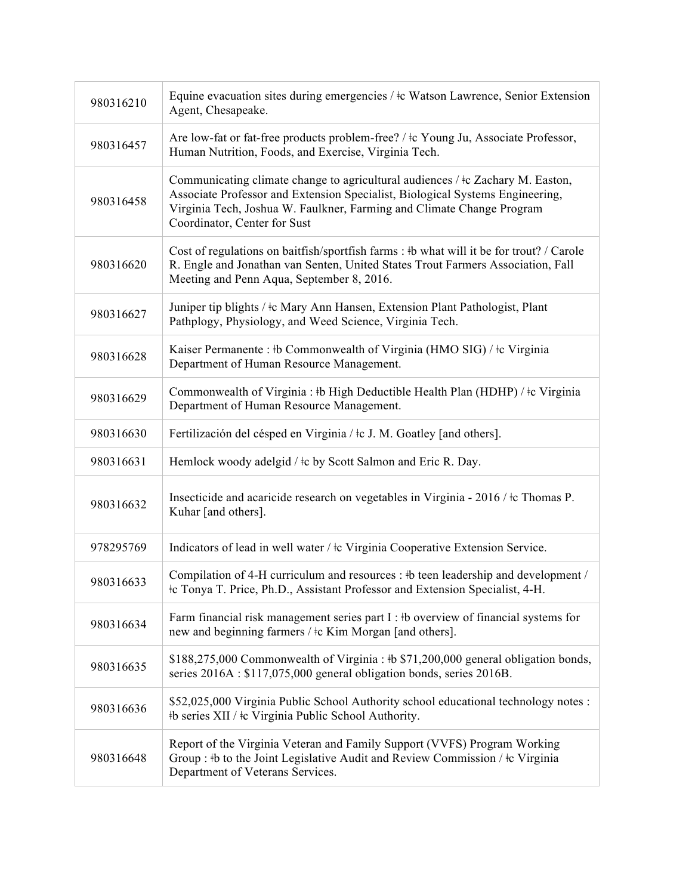| 980316210 | Equine evacuation sites during emergencies / $\pm c$ Watson Lawrence, Senior Extension<br>Agent, Chesapeake.                                                                                                                                                                  |
|-----------|-------------------------------------------------------------------------------------------------------------------------------------------------------------------------------------------------------------------------------------------------------------------------------|
| 980316457 | Are low-fat or fat-free products problem-free? / ‡c Young Ju, Associate Professor,<br>Human Nutrition, Foods, and Exercise, Virginia Tech.                                                                                                                                    |
| 980316458 | Communicating climate change to agricultural audiences / $\pm c$ Zachary M. Easton,<br>Associate Professor and Extension Specialist, Biological Systems Engineering,<br>Virginia Tech, Joshua W. Faulkner, Farming and Climate Change Program<br>Coordinator, Center for Sust |
| 980316620 | Cost of regulations on baitfish/sportfish farms : #b what will it be for trout? / Carole<br>R. Engle and Jonathan van Senten, United States Trout Farmers Association, Fall<br>Meeting and Penn Aqua, September 8, 2016.                                                      |
| 980316627 | Juniper tip blights / ‡c Mary Ann Hansen, Extension Plant Pathologist, Plant<br>Pathplogy, Physiology, and Weed Science, Virginia Tech.                                                                                                                                       |
| 980316628 | Kaiser Permanente : #b Commonwealth of Virginia (HMO SIG) / #c Virginia<br>Department of Human Resource Management.                                                                                                                                                           |
| 980316629 | Commonwealth of Virginia : #b High Deductible Health Plan (HDHP) / #c Virginia<br>Department of Human Resource Management.                                                                                                                                                    |
| 980316630 | Fertilización del césped en Virginia / ‡c J. M. Goatley [and others].                                                                                                                                                                                                         |
| 980316631 | Hemlock woody adelgid / $\pm$ c by Scott Salmon and Eric R. Day.                                                                                                                                                                                                              |
| 980316632 | Insecticide and acaricide research on vegetables in Virginia - 2016 / ‡c Thomas P.<br>Kuhar [and others].                                                                                                                                                                     |
| 978295769 | Indicators of lead in well water / $\pm c$ Virginia Cooperative Extension Service.                                                                                                                                                                                            |
| 980316633 | Compilation of 4-H curriculum and resources : #b teen leadership and development /<br>#c Tonya T. Price, Ph.D., Assistant Professor and Extension Specialist, 4-H.                                                                                                            |
| 980316634 | Farm financial risk management series part I : #b overview of financial systems for<br>new and beginning farmers / $\pm c$ Kim Morgan [and others].                                                                                                                           |
| 980316635 | \$188,275,000 Commonwealth of Virginia : #b \$71,200,000 general obligation bonds,<br>series 2016A : \$117,075,000 general obligation bonds, series 2016B.                                                                                                                    |
| 980316636 | \$52,025,000 Virginia Public School Authority school educational technology notes :<br>#b series XII / $\pm$ c Virginia Public School Authority.                                                                                                                              |
| 980316648 | Report of the Virginia Veteran and Family Support (VVFS) Program Working<br>Group : #b to the Joint Legislative Audit and Review Commission / $\pm c$ Virginia<br>Department of Veterans Services.                                                                            |